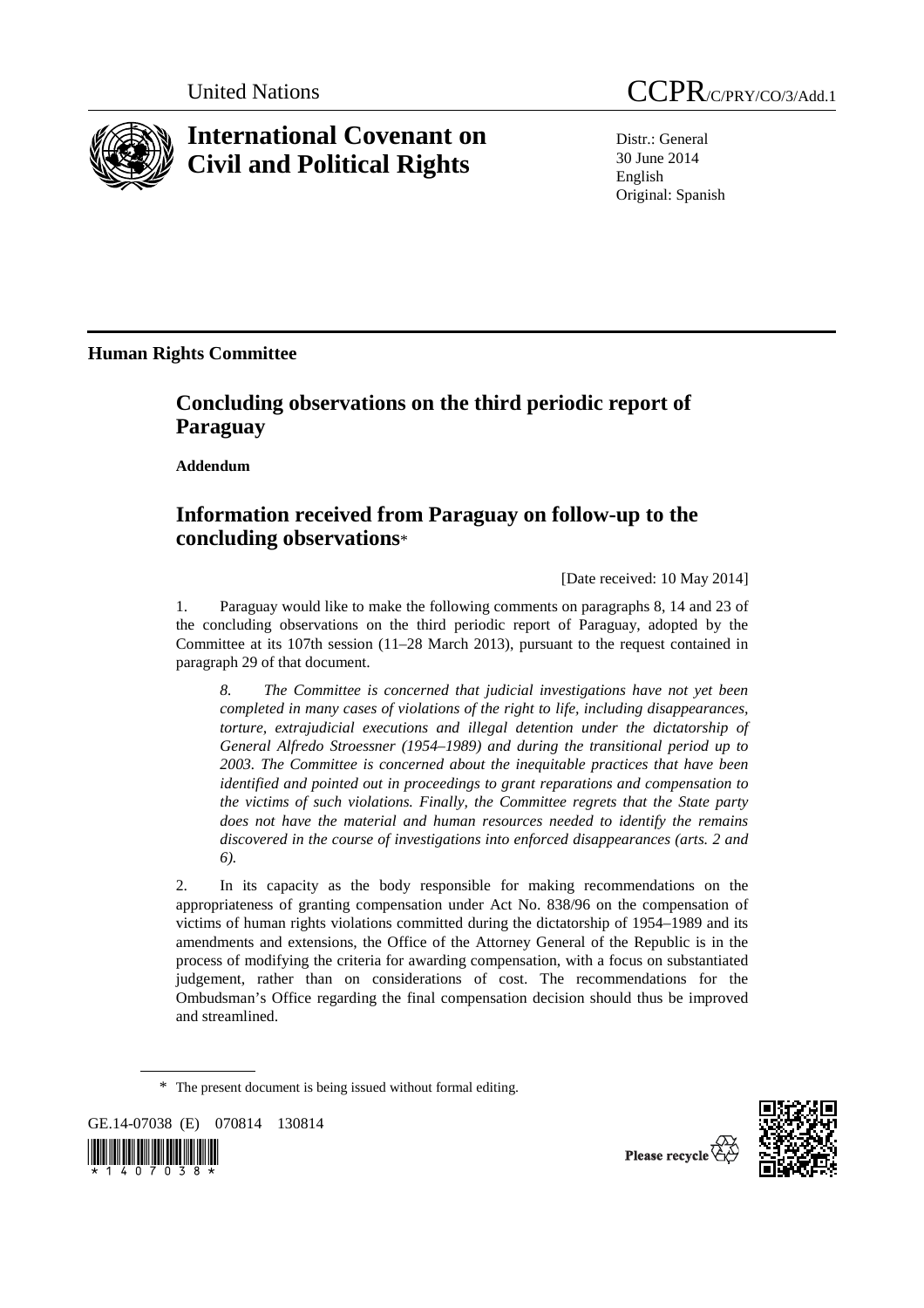

## **International Covenant on Civil and Political Rights**

Distr.: General 30 June 2014 English Original: Spanish

**Human Rights Committee** 

## **Concluding observations on the third periodic report of Paraguay**

 **Addendum** 

## **Information received from Paraguay on follow-up to the concluding observations**\*

[Date received: 10 May 2014]

1. Paraguay would like to make the following comments on paragraphs 8, 14 and 23 of the concluding observations on the third periodic report of Paraguay, adopted by the Committee at its 107th session (11–28 March 2013), pursuant to the request contained in paragraph 29 of that document.

*8. The Committee is concerned that judicial investigations have not yet been completed in many cases of violations of the right to life, including disappearances, torture, extrajudicial executions and illegal detention under the dictatorship of General Alfredo Stroessner (1954–1989) and during the transitional period up to 2003. The Committee is concerned about the inequitable practices that have been identified and pointed out in proceedings to grant reparations and compensation to the victims of such violations. Finally, the Committee regrets that the State party does not have the material and human resources needed to identify the remains discovered in the course of investigations into enforced disappearances (arts. 2 and 6).* 

2. In its capacity as the body responsible for making recommendations on the appropriateness of granting compensation under Act No. 838/96 on the compensation of victims of human rights violations committed during the dictatorship of 1954–1989 and its amendments and extensions, the Office of the Attorney General of the Republic is in the process of modifying the criteria for awarding compensation, with a focus on substantiated judgement, rather than on considerations of cost. The recommendations for the Ombudsman's Office regarding the final compensation decision should thus be improved and streamlined.

\* The present document is being issued without formal editing.

GE.14-07038 (E) 070814 130814





Please recycle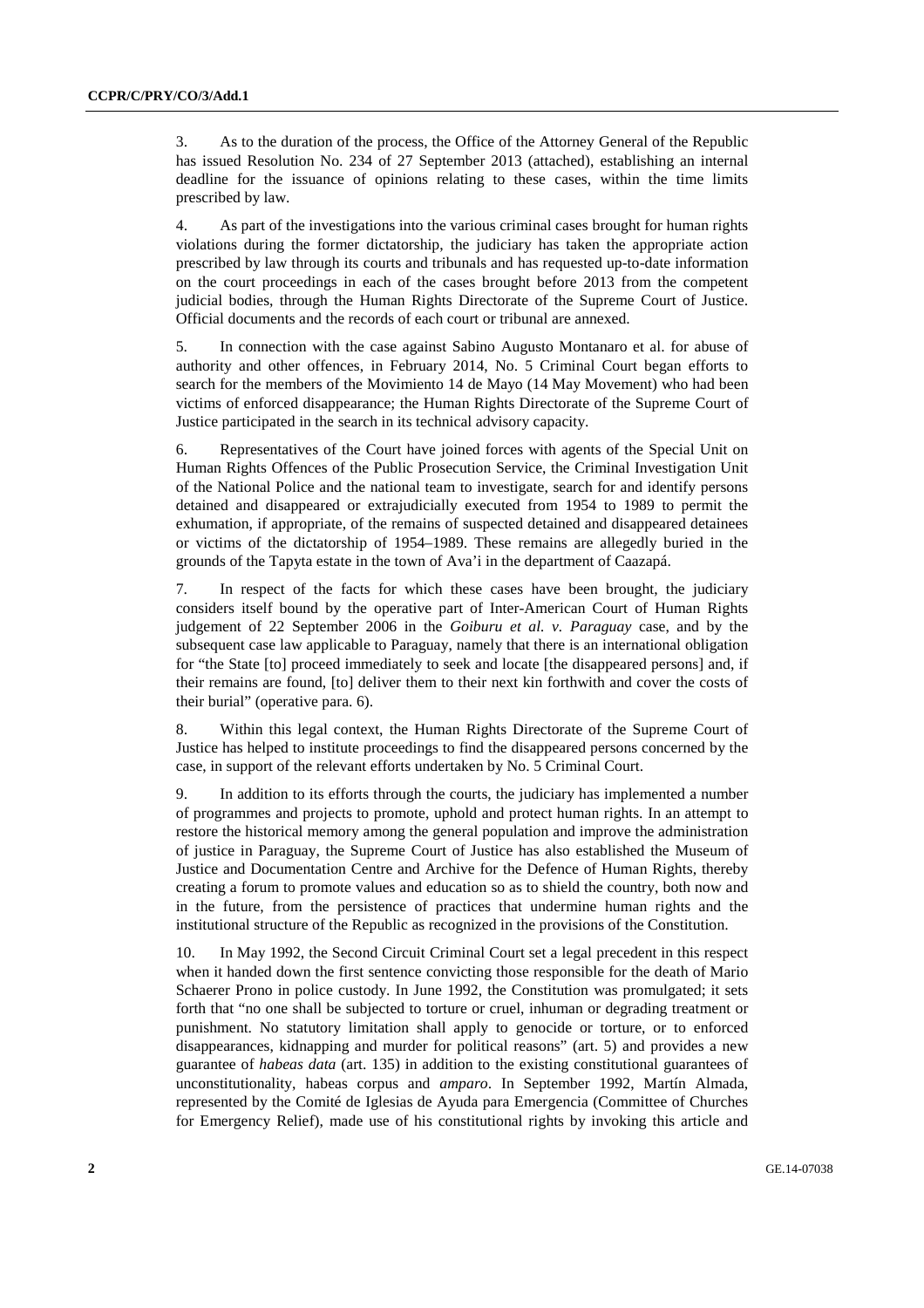3. As to the duration of the process, the Office of the Attorney General of the Republic has issued Resolution No. 234 of 27 September 2013 (attached), establishing an internal deadline for the issuance of opinions relating to these cases, within the time limits prescribed by law.

4. As part of the investigations into the various criminal cases brought for human rights violations during the former dictatorship, the judiciary has taken the appropriate action prescribed by law through its courts and tribunals and has requested up-to-date information on the court proceedings in each of the cases brought before 2013 from the competent judicial bodies, through the Human Rights Directorate of the Supreme Court of Justice. Official documents and the records of each court or tribunal are annexed.

5. In connection with the case against Sabino Augusto Montanaro et al. for abuse of authority and other offences, in February 2014, No. 5 Criminal Court began efforts to search for the members of the Movimiento 14 de Mayo (14 May Movement) who had been victims of enforced disappearance; the Human Rights Directorate of the Supreme Court of Justice participated in the search in its technical advisory capacity.

6. Representatives of the Court have joined forces with agents of the Special Unit on Human Rights Offences of the Public Prosecution Service, the Criminal Investigation Unit of the National Police and the national team to investigate, search for and identify persons detained and disappeared or extrajudicially executed from 1954 to 1989 to permit the exhumation, if appropriate, of the remains of suspected detained and disappeared detainees or victims of the dictatorship of 1954–1989. These remains are allegedly buried in the grounds of the Tapyta estate in the town of Ava'i in the department of Caazapá.

7. In respect of the facts for which these cases have been brought, the judiciary considers itself bound by the operative part of Inter-American Court of Human Rights judgement of 22 September 2006 in the *Goiburu et al. v. Paraguay* case, and by the subsequent case law applicable to Paraguay, namely that there is an international obligation for "the State [to] proceed immediately to seek and locate [the disappeared persons] and, if their remains are found, [to] deliver them to their next kin forthwith and cover the costs of their burial" (operative para. 6).

8. Within this legal context, the Human Rights Directorate of the Supreme Court of Justice has helped to institute proceedings to find the disappeared persons concerned by the case, in support of the relevant efforts undertaken by No. 5 Criminal Court.

9. In addition to its efforts through the courts, the judiciary has implemented a number of programmes and projects to promote, uphold and protect human rights. In an attempt to restore the historical memory among the general population and improve the administration of justice in Paraguay, the Supreme Court of Justice has also established the Museum of Justice and Documentation Centre and Archive for the Defence of Human Rights, thereby creating a forum to promote values and education so as to shield the country, both now and in the future, from the persistence of practices that undermine human rights and the institutional structure of the Republic as recognized in the provisions of the Constitution.

10. In May 1992, the Second Circuit Criminal Court set a legal precedent in this respect when it handed down the first sentence convicting those responsible for the death of Mario Schaerer Prono in police custody. In June 1992, the Constitution was promulgated; it sets forth that "no one shall be subjected to torture or cruel, inhuman or degrading treatment or punishment. No statutory limitation shall apply to genocide or torture, or to enforced disappearances, kidnapping and murder for political reasons" (art. 5) and provides a new guarantee of *habeas data* (art. 135) in addition to the existing constitutional guarantees of unconstitutionality, habeas corpus and *amparo*. In September 1992, Martín Almada, represented by the Comité de Iglesias de Ayuda para Emergencia (Committee of Churches for Emergency Relief), made use of his constitutional rights by invoking this article and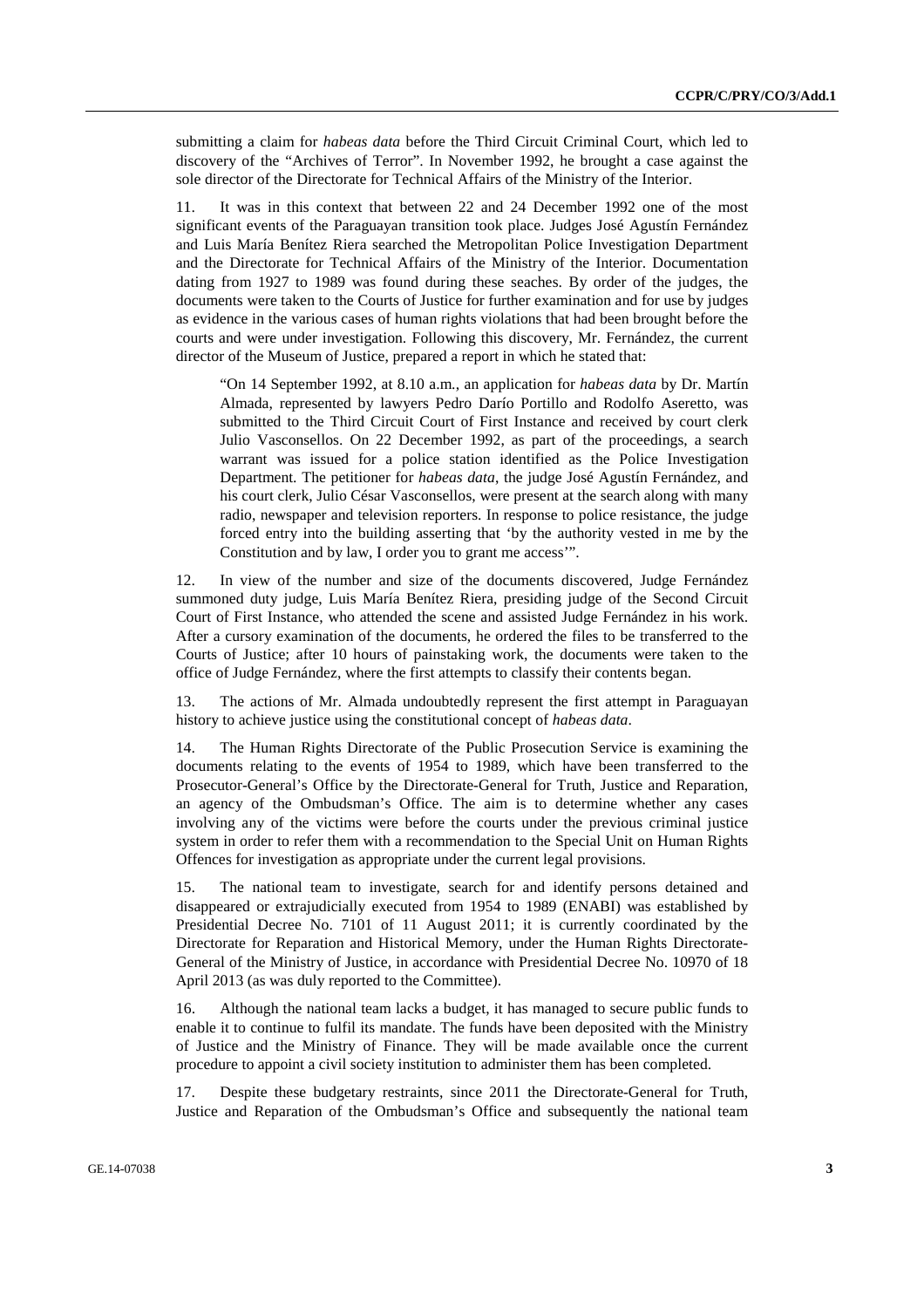submitting a claim for *habeas data* before the Third Circuit Criminal Court, which led to discovery of the "Archives of Terror". In November 1992, he brought a case against the sole director of the Directorate for Technical Affairs of the Ministry of the Interior.

11. It was in this context that between 22 and 24 December 1992 one of the most significant events of the Paraguayan transition took place. Judges José Agustín Fernández and Luis María Benítez Riera searched the Metropolitan Police Investigation Department and the Directorate for Technical Affairs of the Ministry of the Interior. Documentation dating from 1927 to 1989 was found during these seaches. By order of the judges, the documents were taken to the Courts of Justice for further examination and for use by judges as evidence in the various cases of human rights violations that had been brought before the courts and were under investigation. Following this discovery, Mr. Fernández, the current director of the Museum of Justice, prepared a report in which he stated that:

"On 14 September 1992, at 8.10 a.m., an application for *habeas data* by Dr. Martín Almada, represented by lawyers Pedro Darío Portillo and Rodolfo Aseretto, was submitted to the Third Circuit Court of First Instance and received by court clerk Julio Vasconsellos. On 22 December 1992, as part of the proceedings, a search warrant was issued for a police station identified as the Police Investigation Department. The petitioner for *habeas data*, the judge José Agustín Fernández, and his court clerk, Julio César Vasconsellos, were present at the search along with many radio, newspaper and television reporters. In response to police resistance, the judge forced entry into the building asserting that 'by the authority vested in me by the Constitution and by law, I order you to grant me access'".

12. In view of the number and size of the documents discovered, Judge Fernández summoned duty judge, Luis María Benítez Riera, presiding judge of the Second Circuit Court of First Instance, who attended the scene and assisted Judge Fernández in his work. After a cursory examination of the documents, he ordered the files to be transferred to the Courts of Justice; after 10 hours of painstaking work, the documents were taken to the office of Judge Fernández, where the first attempts to classify their contents began.

13. The actions of Mr. Almada undoubtedly represent the first attempt in Paraguayan history to achieve justice using the constitutional concept of *habeas data*.

14. The Human Rights Directorate of the Public Prosecution Service is examining the documents relating to the events of 1954 to 1989, which have been transferred to the Prosecutor-General's Office by the Directorate-General for Truth, Justice and Reparation, an agency of the Ombudsman's Office. The aim is to determine whether any cases involving any of the victims were before the courts under the previous criminal justice system in order to refer them with a recommendation to the Special Unit on Human Rights Offences for investigation as appropriate under the current legal provisions.

15. The national team to investigate, search for and identify persons detained and disappeared or extrajudicially executed from 1954 to 1989 (ENABI) was established by Presidential Decree No. 7101 of 11 August 2011; it is currently coordinated by the Directorate for Reparation and Historical Memory, under the Human Rights Directorate-General of the Ministry of Justice, in accordance with Presidential Decree No. 10970 of 18 April 2013 (as was duly reported to the Committee).

16. Although the national team lacks a budget, it has managed to secure public funds to enable it to continue to fulfil its mandate. The funds have been deposited with the Ministry of Justice and the Ministry of Finance. They will be made available once the current procedure to appoint a civil society institution to administer them has been completed.

17. Despite these budgetary restraints, since 2011 the Directorate-General for Truth, Justice and Reparation of the Ombudsman's Office and subsequently the national team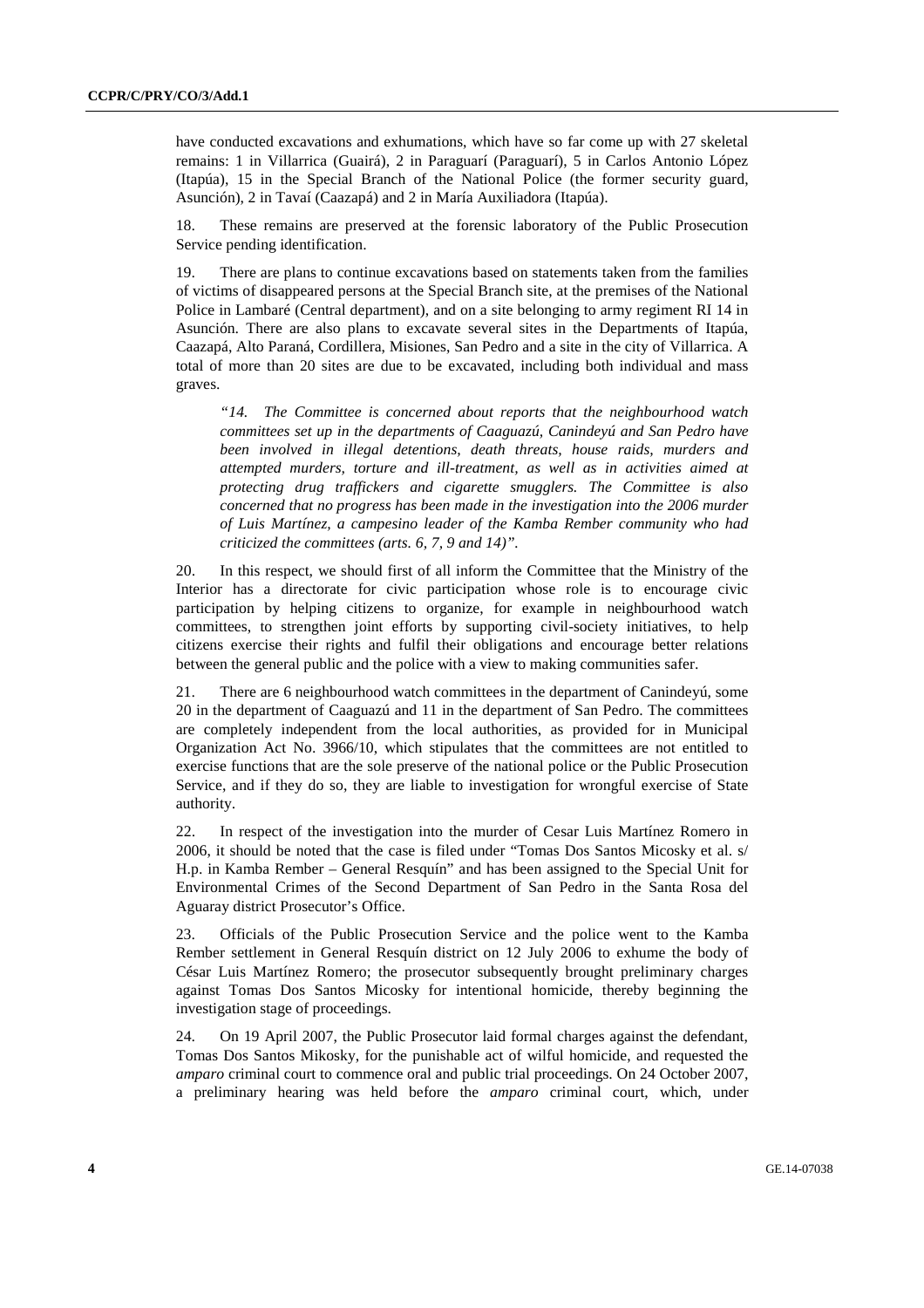have conducted excavations and exhumations, which have so far come up with 27 skeletal remains: 1 in Villarrica (Guairá), 2 in Paraguarí (Paraguarí), 5 in Carlos Antonio López (Itapúa), 15 in the Special Branch of the National Police (the former security guard, Asunción), 2 in Tavaí (Caazapá) and 2 in María Auxiliadora (Itapúa).

18. These remains are preserved at the forensic laboratory of the Public Prosecution Service pending identification.

19. There are plans to continue excavations based on statements taken from the families of victims of disappeared persons at the Special Branch site, at the premises of the National Police in Lambaré (Central department), and on a site belonging to army regiment RI 14 in Asunción. There are also plans to excavate several sites in the Departments of Itapúa, Caazapá, Alto Paraná, Cordillera, Misiones, San Pedro and a site in the city of Villarrica. A total of more than 20 sites are due to be excavated, including both individual and mass graves.

*"14. The Committee is concerned about reports that the neighbourhood watch committees set up in the departments of Caaguazú, Canindeyú and San Pedro have been involved in illegal detentions, death threats, house raids, murders and attempted murders, torture and ill-treatment, as well as in activities aimed at protecting drug traffickers and cigarette smugglers. The Committee is also concerned that no progress has been made in the investigation into the 2006 murder of Luis Martínez, a campesino leader of the Kamba Rember community who had criticized the committees (arts. 6, 7, 9 and 14)".* 

20. In this respect, we should first of all inform the Committee that the Ministry of the Interior has a directorate for civic participation whose role is to encourage civic participation by helping citizens to organize, for example in neighbourhood watch committees, to strengthen joint efforts by supporting civil-society initiatives, to help citizens exercise their rights and fulfil their obligations and encourage better relations between the general public and the police with a view to making communities safer.

21. There are 6 neighbourhood watch committees in the department of Canindeyú, some 20 in the department of Caaguazú and 11 in the department of San Pedro. The committees are completely independent from the local authorities, as provided for in Municipal Organization Act No. 3966/10, which stipulates that the committees are not entitled to exercise functions that are the sole preserve of the national police or the Public Prosecution Service, and if they do so, they are liable to investigation for wrongful exercise of State authority.

22. In respect of the investigation into the murder of Cesar Luis Martínez Romero in 2006, it should be noted that the case is filed under "Tomas Dos Santos Micosky et al. s/ H.p. in Kamba Rember – General Resquín" and has been assigned to the Special Unit for Environmental Crimes of the Second Department of San Pedro in the Santa Rosa del Aguaray district Prosecutor's Office.

23. Officials of the Public Prosecution Service and the police went to the Kamba Rember settlement in General Resquín district on 12 July 2006 to exhume the body of César Luis Martínez Romero; the prosecutor subsequently brought preliminary charges against Tomas Dos Santos Micosky for intentional homicide, thereby beginning the investigation stage of proceedings.

24. On 19 April 2007, the Public Prosecutor laid formal charges against the defendant, Tomas Dos Santos Mikosky, for the punishable act of wilful homicide, and requested the *amparo* criminal court to commence oral and public trial proceedings. On 24 October 2007, a preliminary hearing was held before the *amparo* criminal court, which, under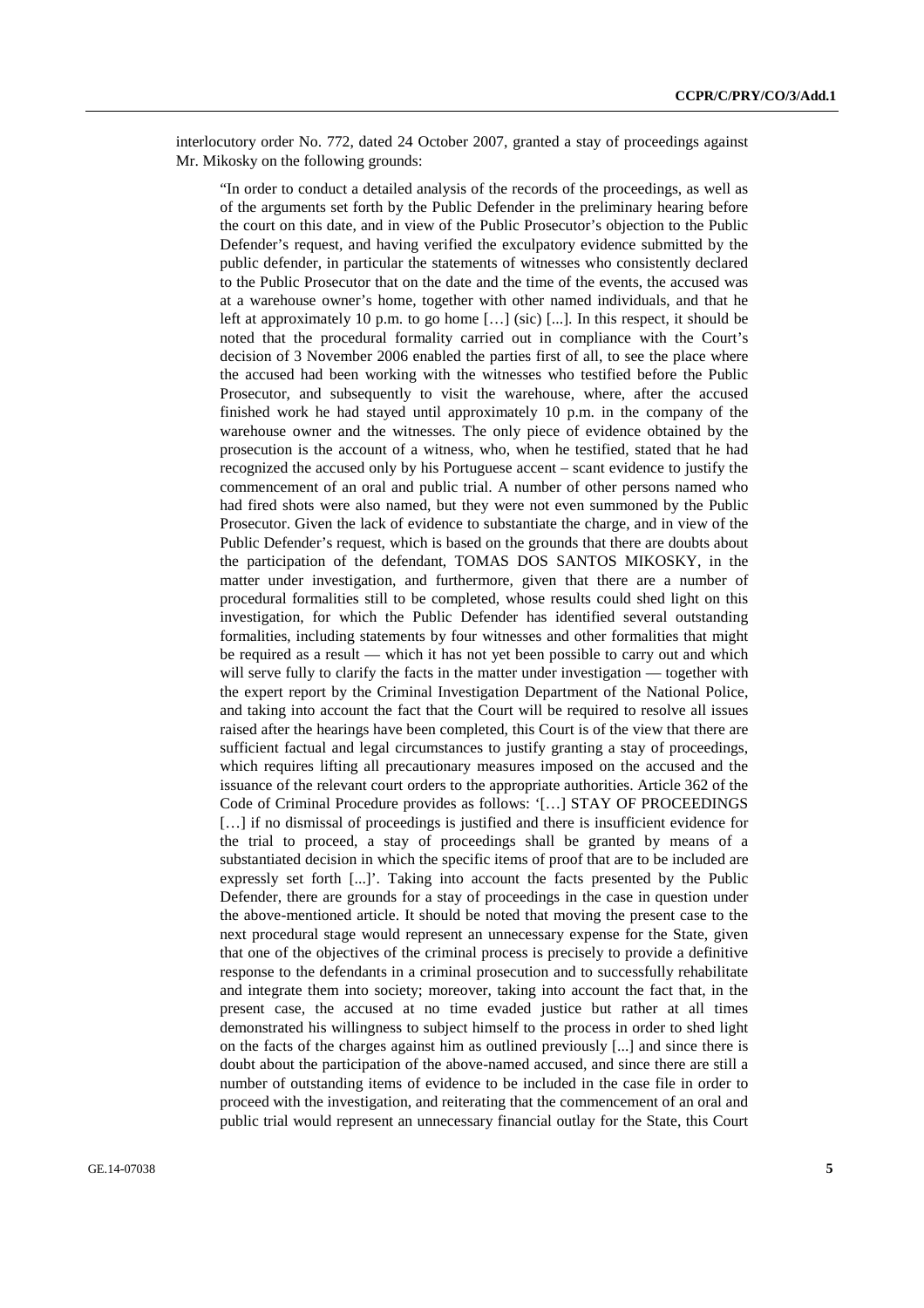interlocutory order No. 772, dated 24 October 2007, granted a stay of proceedings against Mr. Mikosky on the following grounds:

"In order to conduct a detailed analysis of the records of the proceedings, as well as of the arguments set forth by the Public Defender in the preliminary hearing before the court on this date, and in view of the Public Prosecutor's objection to the Public Defender's request, and having verified the exculpatory evidence submitted by the public defender, in particular the statements of witnesses who consistently declared to the Public Prosecutor that on the date and the time of the events, the accused was at a warehouse owner's home, together with other named individuals, and that he left at approximately 10 p.m. to go home  $[\dots]$  (sic)  $[\dots]$ . In this respect, it should be noted that the procedural formality carried out in compliance with the Court's decision of 3 November 2006 enabled the parties first of all, to see the place where the accused had been working with the witnesses who testified before the Public Prosecutor, and subsequently to visit the warehouse, where, after the accused finished work he had stayed until approximately 10 p.m. in the company of the warehouse owner and the witnesses. The only piece of evidence obtained by the prosecution is the account of a witness, who, when he testified, stated that he had recognized the accused only by his Portuguese accent – scant evidence to justify the commencement of an oral and public trial. A number of other persons named who had fired shots were also named, but they were not even summoned by the Public Prosecutor. Given the lack of evidence to substantiate the charge, and in view of the Public Defender's request, which is based on the grounds that there are doubts about the participation of the defendant, TOMAS DOS SANTOS MIKOSKY, in the matter under investigation, and furthermore, given that there are a number of procedural formalities still to be completed, whose results could shed light on this investigation, for which the Public Defender has identified several outstanding formalities, including statements by four witnesses and other formalities that might be required as a result — which it has not yet been possible to carry out and which will serve fully to clarify the facts in the matter under investigation — together with the expert report by the Criminal Investigation Department of the National Police, and taking into account the fact that the Court will be required to resolve all issues raised after the hearings have been completed, this Court is of the view that there are sufficient factual and legal circumstances to justify granting a stay of proceedings, which requires lifting all precautionary measures imposed on the accused and the issuance of the relevant court orders to the appropriate authorities. Article 362 of the Code of Criminal Procedure provides as follows: '[…] STAY OF PROCEEDINGS [...] if no dismissal of proceedings is justified and there is insufficient evidence for the trial to proceed, a stay of proceedings shall be granted by means of a substantiated decision in which the specific items of proof that are to be included are expressly set forth [...]'. Taking into account the facts presented by the Public Defender, there are grounds for a stay of proceedings in the case in question under the above-mentioned article. It should be noted that moving the present case to the next procedural stage would represent an unnecessary expense for the State, given that one of the objectives of the criminal process is precisely to provide a definitive response to the defendants in a criminal prosecution and to successfully rehabilitate and integrate them into society; moreover, taking into account the fact that, in the present case, the accused at no time evaded justice but rather at all times demonstrated his willingness to subject himself to the process in order to shed light on the facts of the charges against him as outlined previously [...] and since there is doubt about the participation of the above-named accused, and since there are still a number of outstanding items of evidence to be included in the case file in order to proceed with the investigation, and reiterating that the commencement of an oral and public trial would represent an unnecessary financial outlay for the State, this Court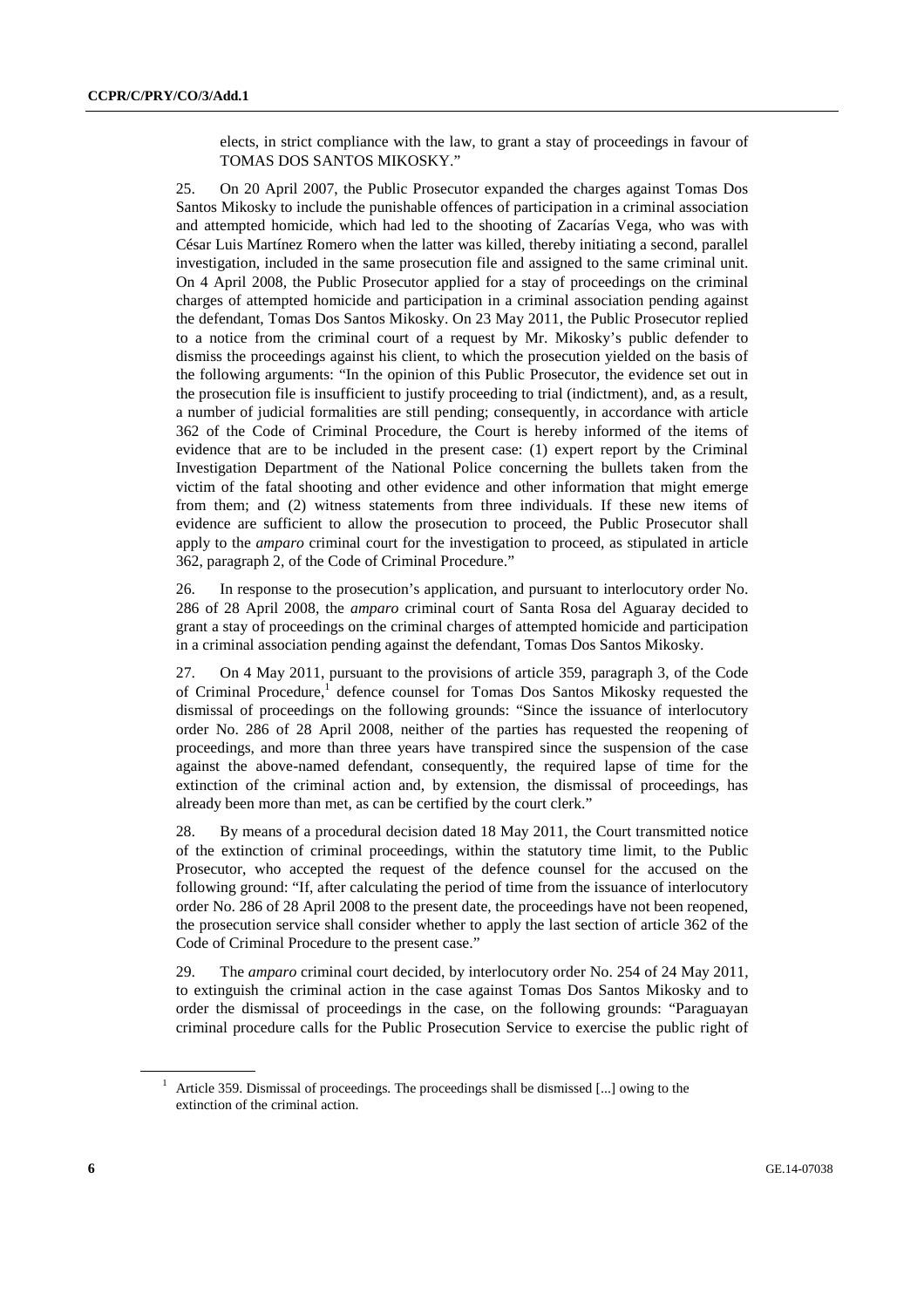elects, in strict compliance with the law, to grant a stay of proceedings in favour of TOMAS DOS SANTOS MIKOSKY."

25. On 20 April 2007, the Public Prosecutor expanded the charges against Tomas Dos Santos Mikosky to include the punishable offences of participation in a criminal association and attempted homicide, which had led to the shooting of Zacarías Vega, who was with César Luis Martínez Romero when the latter was killed, thereby initiating a second, parallel investigation, included in the same prosecution file and assigned to the same criminal unit. On 4 April 2008, the Public Prosecutor applied for a stay of proceedings on the criminal charges of attempted homicide and participation in a criminal association pending against the defendant, Tomas Dos Santos Mikosky. On 23 May 2011, the Public Prosecutor replied to a notice from the criminal court of a request by Mr. Mikosky's public defender to dismiss the proceedings against his client, to which the prosecution yielded on the basis of the following arguments: "In the opinion of this Public Prosecutor, the evidence set out in the prosecution file is insufficient to justify proceeding to trial (indictment), and, as a result, a number of judicial formalities are still pending; consequently, in accordance with article 362 of the Code of Criminal Procedure, the Court is hereby informed of the items of evidence that are to be included in the present case: (1) expert report by the Criminal Investigation Department of the National Police concerning the bullets taken from the victim of the fatal shooting and other evidence and other information that might emerge from them; and (2) witness statements from three individuals. If these new items of evidence are sufficient to allow the prosecution to proceed, the Public Prosecutor shall apply to the *amparo* criminal court for the investigation to proceed, as stipulated in article 362, paragraph 2, of the Code of Criminal Procedure."

26. In response to the prosecution's application, and pursuant to interlocutory order No. 286 of 28 April 2008, the *amparo* criminal court of Santa Rosa del Aguaray decided to grant a stay of proceedings on the criminal charges of attempted homicide and participation in a criminal association pending against the defendant, Tomas Dos Santos Mikosky.

27. On 4 May 2011, pursuant to the provisions of article 359, paragraph 3, of the Code of Criminal Procedure,<sup>1</sup> defence counsel for Tomas Dos Santos Mikosky requested the dismissal of proceedings on the following grounds: "Since the issuance of interlocutory order No. 286 of 28 April 2008, neither of the parties has requested the reopening of proceedings, and more than three years have transpired since the suspension of the case against the above-named defendant, consequently, the required lapse of time for the extinction of the criminal action and, by extension, the dismissal of proceedings, has already been more than met, as can be certified by the court clerk."

28. By means of a procedural decision dated 18 May 2011, the Court transmitted notice of the extinction of criminal proceedings, within the statutory time limit, to the Public Prosecutor, who accepted the request of the defence counsel for the accused on the following ground: "If, after calculating the period of time from the issuance of interlocutory order No. 286 of 28 April 2008 to the present date, the proceedings have not been reopened, the prosecution service shall consider whether to apply the last section of article 362 of the Code of Criminal Procedure to the present case."

29. The *amparo* criminal court decided, by interlocutory order No. 254 of 24 May 2011, to extinguish the criminal action in the case against Tomas Dos Santos Mikosky and to order the dismissal of proceedings in the case, on the following grounds: "Paraguayan criminal procedure calls for the Public Prosecution Service to exercise the public right of

<sup>&</sup>lt;sup>1</sup> Article 359. Dismissal of proceedings. The proceedings shall be dismissed [...] owing to the extinction of the criminal action.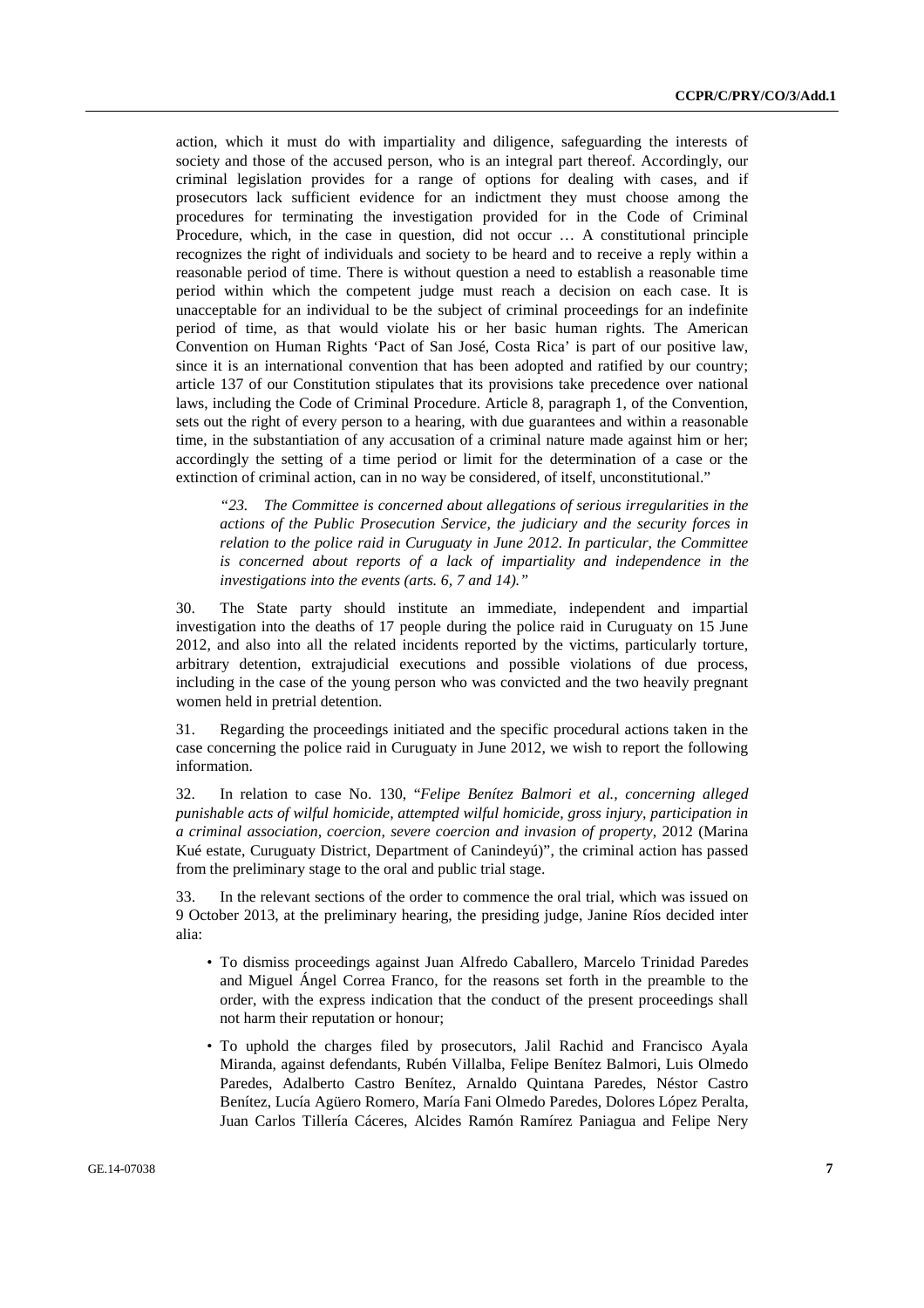action, which it must do with impartiality and diligence, safeguarding the interests of society and those of the accused person, who is an integral part thereof. Accordingly, our criminal legislation provides for a range of options for dealing with cases, and if prosecutors lack sufficient evidence for an indictment they must choose among the procedures for terminating the investigation provided for in the Code of Criminal Procedure, which, in the case in question, did not occur … A constitutional principle recognizes the right of individuals and society to be heard and to receive a reply within a reasonable period of time. There is without question a need to establish a reasonable time period within which the competent judge must reach a decision on each case. It is unacceptable for an individual to be the subject of criminal proceedings for an indefinite period of time, as that would violate his or her basic human rights. The American Convention on Human Rights 'Pact of San José, Costa Rica' is part of our positive law, since it is an international convention that has been adopted and ratified by our country; article 137 of our Constitution stipulates that its provisions take precedence over national laws, including the Code of Criminal Procedure. Article 8, paragraph 1, of the Convention, sets out the right of every person to a hearing, with due guarantees and within a reasonable time, in the substantiation of any accusation of a criminal nature made against him or her; accordingly the setting of a time period or limit for the determination of a case or the extinction of criminal action, can in no way be considered, of itself, unconstitutional."

*"23. The Committee is concerned about allegations of serious irregularities in the actions of the Public Prosecution Service, the judiciary and the security forces in relation to the police raid in Curuguaty in June 2012. In particular, the Committee is concerned about reports of a lack of impartiality and independence in the investigations into the events (arts. 6, 7 and 14)."* 

30. The State party should institute an immediate, independent and impartial investigation into the deaths of 17 people during the police raid in Curuguaty on 15 June 2012, and also into all the related incidents reported by the victims, particularly torture, arbitrary detention, extrajudicial executions and possible violations of due process, including in the case of the young person who was convicted and the two heavily pregnant women held in pretrial detention.

31. Regarding the proceedings initiated and the specific procedural actions taken in the case concerning the police raid in Curuguaty in June 2012, we wish to report the following information.

32. In relation to case No. 130, "*Felipe Benítez Balmori et al., concerning alleged punishable acts of wilful homicide, attempted wilful homicide, gross injury, participation in a criminal association, coercion, severe coercion and invasion of property*, 2012 (Marina Kué estate, Curuguaty District, Department of Canindeyú)", the criminal action has passed from the preliminary stage to the oral and public trial stage.

33. In the relevant sections of the order to commence the oral trial, which was issued on 9 October 2013, at the preliminary hearing, the presiding judge, Janine Ríos decided inter alia:

- To dismiss proceedings against Juan Alfredo Caballero, Marcelo Trinidad Paredes and Miguel Ángel Correa Franco, for the reasons set forth in the preamble to the order, with the express indication that the conduct of the present proceedings shall not harm their reputation or honour;
- To uphold the charges filed by prosecutors, Jalil Rachid and Francisco Ayala Miranda, against defendants, Rubén Villalba, Felipe Benítez Balmori, Luis Olmedo Paredes, Adalberto Castro Benítez, Arnaldo Quintana Paredes, Néstor Castro Benítez, Lucía Agüero Romero, María Fani Olmedo Paredes, Dolores López Peralta, Juan Carlos Tillería Cáceres, Alcides Ramón Ramírez Paniagua and Felipe Nery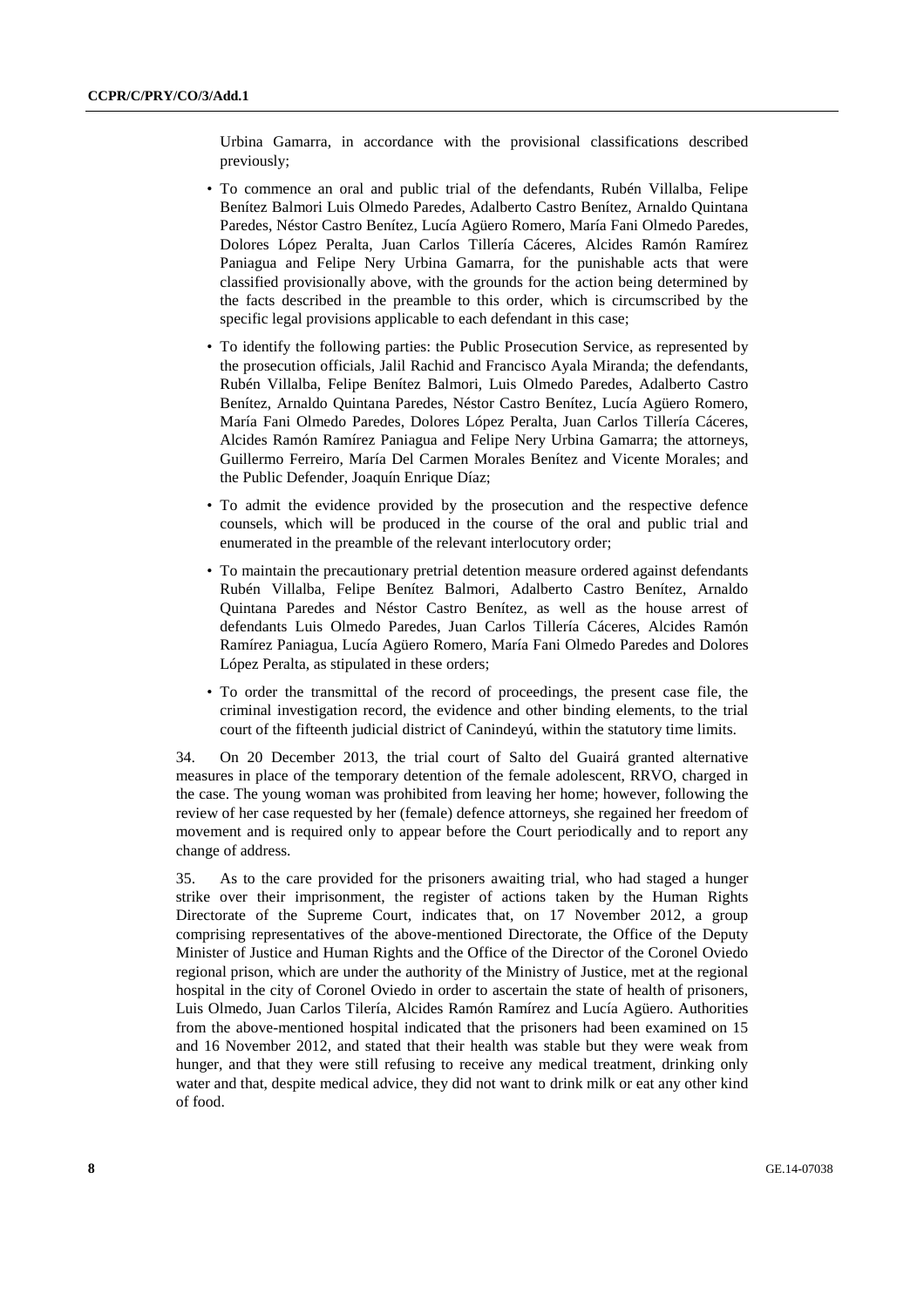Urbina Gamarra, in accordance with the provisional classifications described previously;

- To commence an oral and public trial of the defendants, Rubén Villalba, Felipe Benítez Balmori Luis Olmedo Paredes, Adalberto Castro Benítez, Arnaldo Quintana Paredes, Néstor Castro Benítez, Lucía Agüero Romero, María Fani Olmedo Paredes, Dolores López Peralta, Juan Carlos Tillería Cáceres, Alcides Ramón Ramírez Paniagua and Felipe Nery Urbina Gamarra, for the punishable acts that were classified provisionally above, with the grounds for the action being determined by the facts described in the preamble to this order, which is circumscribed by the specific legal provisions applicable to each defendant in this case;
- To identify the following parties: the Public Prosecution Service, as represented by the prosecution officials, Jalil Rachid and Francisco Ayala Miranda; the defendants, Rubén Villalba, Felipe Benítez Balmori, Luis Olmedo Paredes, Adalberto Castro Benítez, Arnaldo Quintana Paredes, Néstor Castro Benítez, Lucía Agüero Romero, María Fani Olmedo Paredes, Dolores López Peralta, Juan Carlos Tillería Cáceres, Alcides Ramón Ramírez Paniagua and Felipe Nery Urbina Gamarra; the attorneys, Guillermo Ferreiro, María Del Carmen Morales Benítez and Vicente Morales; and the Public Defender, Joaquín Enrique Díaz;
- To admit the evidence provided by the prosecution and the respective defence counsels, which will be produced in the course of the oral and public trial and enumerated in the preamble of the relevant interlocutory order;
- To maintain the precautionary pretrial detention measure ordered against defendants Rubén Villalba, Felipe Benítez Balmori, Adalberto Castro Benítez, Arnaldo Quintana Paredes and Néstor Castro Benítez, as well as the house arrest of defendants Luis Olmedo Paredes, Juan Carlos Tillería Cáceres, Alcides Ramón Ramírez Paniagua, Lucía Agüero Romero, María Fani Olmedo Paredes and Dolores López Peralta, as stipulated in these orders;
- To order the transmittal of the record of proceedings, the present case file, the criminal investigation record, the evidence and other binding elements, to the trial court of the fifteenth judicial district of Canindeyú, within the statutory time limits.

34. On 20 December 2013, the trial court of Salto del Guairá granted alternative measures in place of the temporary detention of the female adolescent, RRVO, charged in the case. The young woman was prohibited from leaving her home; however, following the review of her case requested by her (female) defence attorneys, she regained her freedom of movement and is required only to appear before the Court periodically and to report any change of address.

35. As to the care provided for the prisoners awaiting trial, who had staged a hunger strike over their imprisonment, the register of actions taken by the Human Rights Directorate of the Supreme Court, indicates that, on 17 November 2012, a group comprising representatives of the above-mentioned Directorate, the Office of the Deputy Minister of Justice and Human Rights and the Office of the Director of the Coronel Oviedo regional prison, which are under the authority of the Ministry of Justice, met at the regional hospital in the city of Coronel Oviedo in order to ascertain the state of health of prisoners, Luis Olmedo, Juan Carlos Tilería, Alcides Ramón Ramírez and Lucía Agüero. Authorities from the above-mentioned hospital indicated that the prisoners had been examined on 15 and 16 November 2012, and stated that their health was stable but they were weak from hunger, and that they were still refusing to receive any medical treatment, drinking only water and that, despite medical advice, they did not want to drink milk or eat any other kind of food.